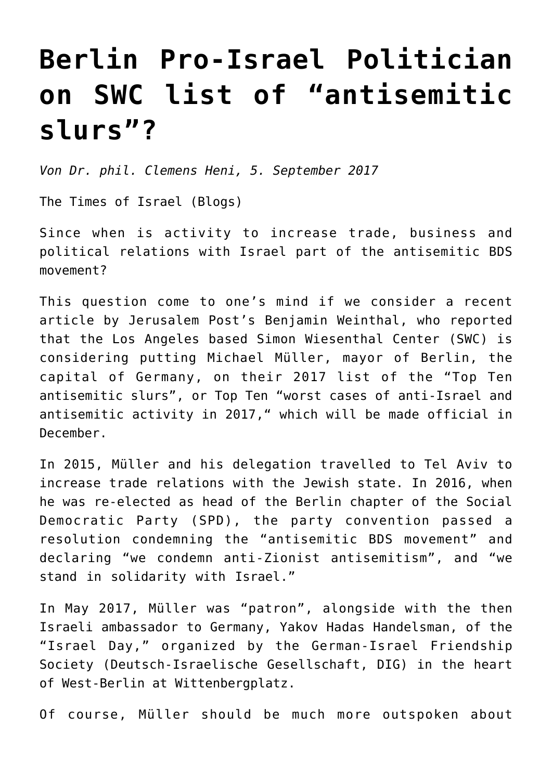## **[Berlin Pro-Israel Politician](https://www.clemensheni.net/berlin-pro-israel-politician-on-swc-list-of-antisemitic-slurs/) [on SWC list of "antisemitic](https://www.clemensheni.net/berlin-pro-israel-politician-on-swc-list-of-antisemitic-slurs/) [slurs"?](https://www.clemensheni.net/berlin-pro-israel-politician-on-swc-list-of-antisemitic-slurs/)**

*Von Dr. phil. Clemens Heni, 5. September 2017*

[The Times of Israel \(Blogs\)](http://blogs.timesofisrael.com/berlin-pro-israel-politician-on-swc-list-of-antisemitic-slurs/)

Since when is activity to increase trade, business and political relations with Israel part of the antisemitic BDS movement?

This question come to one's mind if we consider a recent article by [Jerusalem Post's Benjamin Weinthal](http://www.jpost.com/Diaspora/Berlin-mayor-may-be-included-on-top-10-list-of-antisemiticanti-Israel-cases-503645), who reported that the Los Angeles based Simon Wiesenthal Center (SWC) is considering putting Michael Müller, mayor of Berlin, the capital of Germany, on their 2017 list of the "Top Ten antisemitic slurs", or Top Ten "worst cases of anti-Israel and antisemitic activity in 2017," which will be made official in December.

In 2015, Müller and his delegation travelled to Tel Aviv to increase trade relations with the Jewish state. In 2016, when he was re-elected as head of the Berlin chapter of the Social Democratic Party (SPD), the party convention passed a resolution condemning the "antisemitic BDS movement" and declaring "[we condemn anti-Zionist antisemitism](http://parteitag.spd-berlin.de/antraege/gegen-jeden-antisemitismus-nieder-mit-der-antisemitischen-bds-bewegung/)", and "we stand in solidarity with Israel."

In May 2017, Müller was "patron", alongside with the then Israeli ambassador to Germany, Yakov Hadas Handelsman, of the "[Israel Day](http://www.digberlin.de/israel-tag-2017/)," organized by the German-Israel Friendship Society (Deutsch-Israelische Gesellschaft, DIG) in the heart of West-Berlin at Wittenbergplatz.

Of course, Müller should be much more outspoken about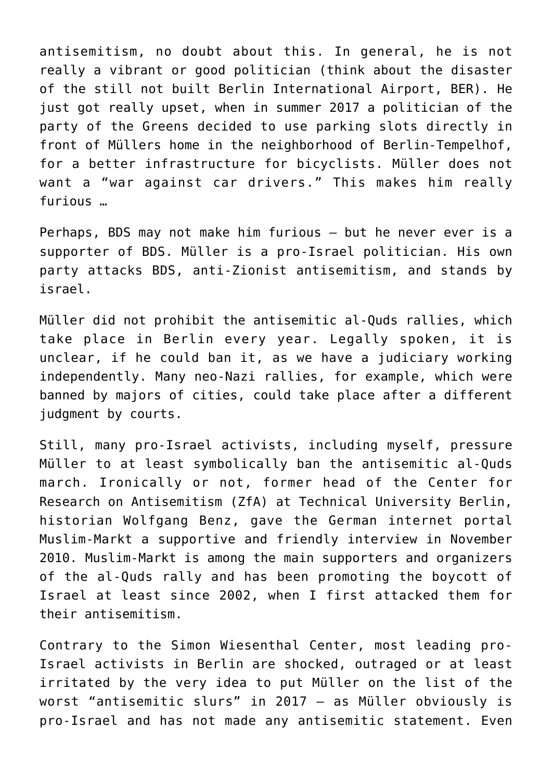antisemitism, no doubt about this. In general, he is not really a vibrant or good politician (think about the disaster of the still not built Berlin International Airport, BER). [He](https://www.morgenpost.de/bezirke/tempelhof-schoeneberg/article211256927/Parkplatz-Streit-in-Muellers-Viertel.html) [just got really upset](https://www.morgenpost.de/bezirke/tempelhof-schoeneberg/article211256927/Parkplatz-Streit-in-Muellers-Viertel.html), when in summer 2017 a politician of the party of the Greens decided to use parking slots directly in front of Müllers home in the neighborhood of Berlin-Tempelhof, for a better infrastructure for bicyclists. Müller does not want a "war against car drivers." This makes him really furious …

Perhaps, BDS may not make him furious – but he never ever is a supporter of BDS. Müller is a pro-Israel politician. His own party attacks BDS, anti-Zionist antisemitism, and stands by israel.

Müller did not prohibit the antisemitic al-Quds rallies, which take place in Berlin every year. Legally spoken, it is unclear, if he could ban it, as we have a judiciary working independently. Many neo-Nazi rallies, for example, which were banned by majors of cities, could take place after a different judgment by courts.

Still, many pro-Israel activists, including myself, pressure Müller to at least symbolically ban the antisemitic al-Quds march. Ironically or not, former head of the Center for Research on Antisemitism (ZfA) at Technical University Berlin, historian Wolfgang Benz, gave the German internet portal Muslim-Markt a supportive and friendly interview in November 2010. Muslim-Markt is among the main supporters and organizers of the al-Quds rally and has been promoting the boycott of Israel at least since 2002, when I first attacked them for their antisemitism.

Contrary to the Simon Wiesenthal Center, most leading pro-Israel activists in Berlin are shocked, outraged or at least irritated by the very idea to put Müller on the list of the worst "antisemitic slurs" in 2017 – as Müller obviously is pro-Israel and has not made any antisemitic statement. Even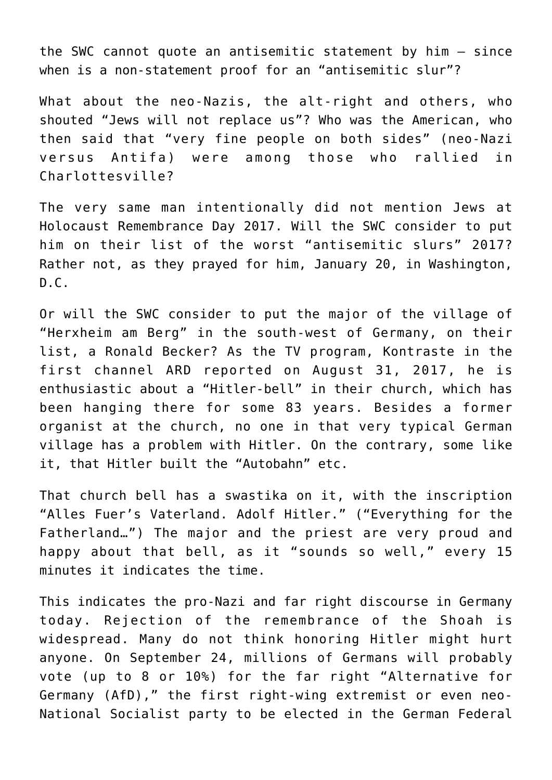the SWC cannot quote an antisemitic statement by him – since when is a non-statement proof for an "antisemitic slur"?

What about the neo-Nazis, the alt-right and others, who shouted "Jews will not replace us"? Who was the American, who then said that "very fine people on both sides" (neo-Nazi versus Antifa) were among those who rallied in Charlottesville?

The very same man intentionally did not mention Jews at Holocaust Remembrance Day 2017. Will the SWC consider to put him on their list of the worst "antisemitic slurs" 2017? Rather not, as they prayed for him, January 20, in Washington,  $D.C.$ 

Or will the SWC consider to put the major of the village of "Herxheim am Berg" in the south-west of Germany, on their list, a Ronald Becker? As the TV program, Kontraste in the first channel ARD reported on August 31, 2017, [he is](https://www.rbb-online.de/kontraste/archiv/kontraste-vom-31-08-2017/hitler-glocke-soll-in-herxheim-bleiben.html) [enthusiastic about a "Hitler-bell" in their church,](https://www.rbb-online.de/kontraste/archiv/kontraste-vom-31-08-2017/hitler-glocke-soll-in-herxheim-bleiben.html) which has been hanging there for some 83 years. Besides a former organist at the church, no one in that very typical German village has a problem with Hitler. On the contrary, some like it, that Hitler built the "Autobahn" etc.

That church bell has a swastika on it, with the inscription "Alles Fuer's Vaterland. Adolf Hitler." ("Everything for the Fatherland…") The major and the priest are very proud and happy about that bell, as it "sounds so well," every 15 minutes it indicates the time.

This indicates the pro-Nazi and far right discourse in Germany today. Rejection of the remembrance of the Shoah is widespread. Many do not think honoring Hitler might hurt anyone. On September 24, millions of Germans will probably vote (up to 8 or 10%) for the far right "Alternative for Germany (AfD)," the first right-wing extremist or even neo-National Socialist party to be elected in the German Federal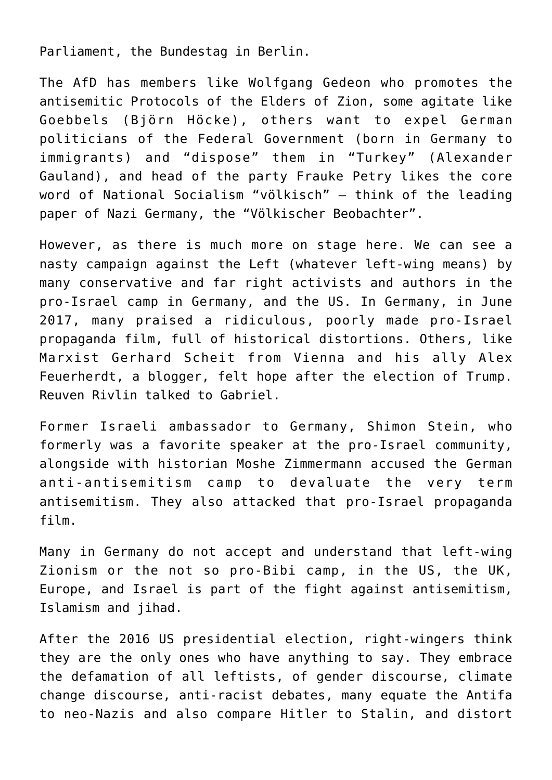Parliament, the Bundestag in Berlin.

The AfD has members like Wolfgang Gedeon who promotes the antisemitic Protocols of the Elders of Zion, some agitate like Goebbels (Björn Höcke), others want to expel German politicians of the Federal Government (born in Germany to immigrants) and "dispose" them in "Turkey" (Alexander Gauland), and head of the party Frauke Petry likes the core word of National Socialism "völkisch" – think of the leading paper of Nazi Germany, the "Völkischer Beobachter".

However, as there is much more on stage here. We can see a nasty campaign against the Left (whatever left-wing means) by many conservative and far right activists and authors in the pro-Israel camp in Germany, and the US. In Germany, in June 2017, many praised a ridiculous, poorly made pro-Israel propaganda film, full of historical distortions. Others, like Marxist Gerhard Scheit from Vienna and his ally Alex Feuerherdt, a blogger, felt hope after the election of Trump. Reuven Rivlin talked to Gabriel.

Former Israeli ambassador to Germany, Shimon Stein, who formerly was a favorite speaker at the pro-Israel community, alongside with historian Moshe Zimmermann accused the German anti-antisemitism camp to devaluate the very term antisemitism. They also attacked that pro-Israel propaganda film.

Many in Germany do not accept and understand that left-wing Zionism or the not so pro-Bibi camp, in the US, the UK, Europe, and Israel is part of the fight against antisemitism, Islamism and jihad.

After the 2016 US presidential election, right-wingers think they are the only ones who have anything to say. They embrace the defamation of all leftists, of gender discourse, climate change discourse, anti-racist debates, many equate the Antifa to neo-Nazis and also compare Hitler to Stalin, and [distort](https://www.washingtonpost.com/opinions/yes-antifa-is-the-moral-equivalent-of-neo-nazis/2017/08/30/9a13b2f6-8d00-11e7-91d5-ab4e4bb76a3a_story.html?tid=ss_tw&utm_term=.8a9875cb83b9)